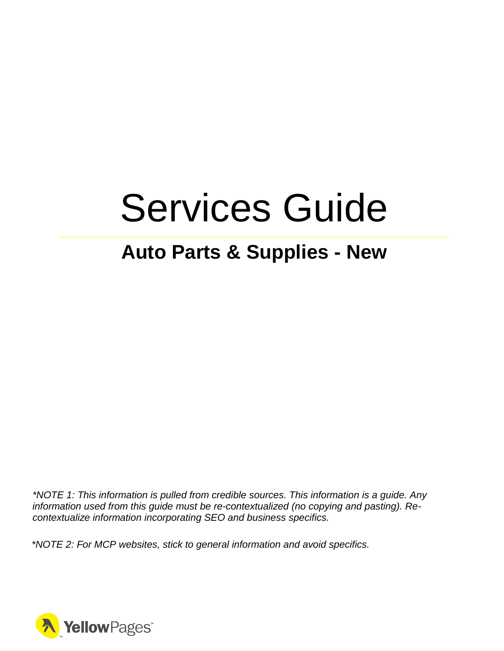# Services Guide

# **Auto Parts & Supplies - New**

*\*NOTE 1: This information is pulled from credible sources. This information is a guide. Any information used from this guide must be re-contextualized (no copying and pasting). Recontextualize information incorporating SEO and business specifics.*

*\*NOTE 2: For MCP websites, stick to general information and avoid specifics.*

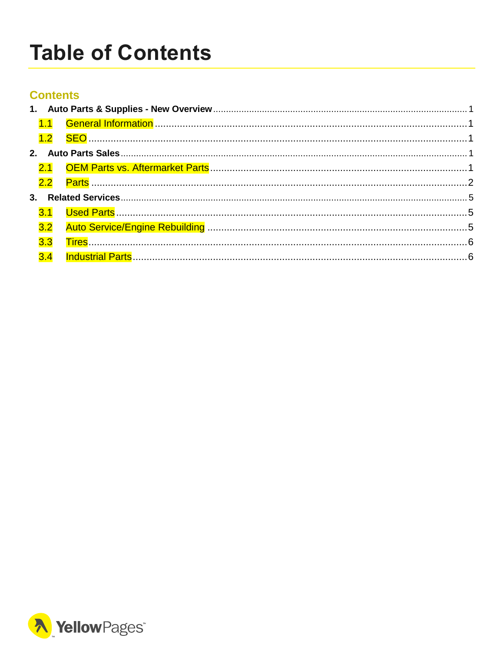# <span id="page-1-0"></span>**Table of Contents**

#### **Contents**

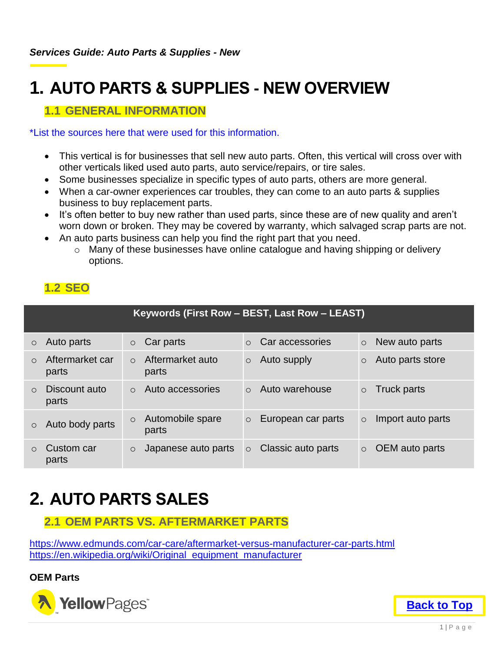# <span id="page-2-0"></span>**1. AUTO PARTS & SUPPLIES - NEW OVERVIEW**

#### <span id="page-2-1"></span>**1.1 GENERAL INFORMATION**

#### \*List the sources here that were used for this information.

- This vertical is for businesses that sell new auto parts. Often, this vertical will cross over with other verticals liked used auto parts, auto service/repairs, or tire sales.
- Some businesses specialize in specific types of auto parts, others are more general.
- When a car-owner experiences car troubles, they can come to an auto parts & supplies business to buy replacement parts.
- It's often better to buy new rather than used parts, since these are of new quality and aren't worn down or broken. They may be covered by warranty, which salvaged scrap parts are not.
- An auto parts business can help you find the right part that you need.
	- o Many of these businesses have online catalogue and having shipping or delivery options.

#### <span id="page-2-2"></span>**1.2 SEO**

| Keywords (First Row - BEST, Last Row - LEAST) |                          |            |                           |          |                    |         |                   |
|-----------------------------------------------|--------------------------|------------|---------------------------|----------|--------------------|---------|-------------------|
| $\circ$                                       | Auto parts               | $\circ$    | Car parts                 | $\Omega$ | Car accessories    | $\circ$ | New auto parts    |
| $\Omega$                                      | Aftermarket car<br>parts | $\Omega$   | Aftermarket auto<br>parts | $\circ$  | Auto supply        | $\circ$ | Auto parts store  |
| $\Omega$                                      | Discount auto<br>parts   | $\bigcirc$ | Auto accessories          | $\Omega$ | Auto warehouse     | $\circ$ | Truck parts       |
| $\circ$                                       | Auto body parts          | $\circ$    | Automobile spare<br>parts | $\circ$  | European car parts | $\circ$ | Import auto parts |
| $\bigcirc$                                    | Custom car<br>parts      | $\circ$    | Japanese auto parts       | $\circ$  | Classic auto parts | $\circ$ | OEM auto parts    |

# <span id="page-2-3"></span>**2. AUTO PARTS SALES**

#### <span id="page-2-4"></span>**2.1 OEM PARTS VS. AFTERMARKET PARTS**

<https://www.edmunds.com/car-care/aftermarket-versus-manufacturer-car-parts.html> [https://en.wikipedia.org/wiki/Original\\_equipment\\_manufacturer](https://en.wikipedia.org/wiki/Original_equipment_manufacturer)

**OEM Parts** 



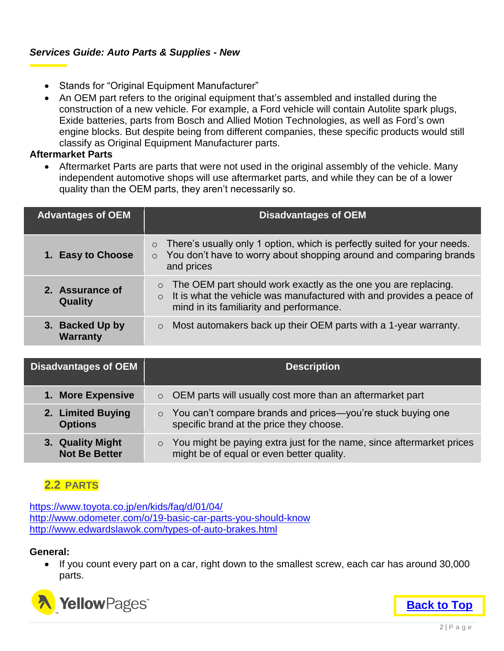#### *Services Guide: Auto Parts & Supplies - New*

- Stands for "Original Equipment Manufacturer"
- An OEM part refers to the original equipment that's assembled and installed during the construction of a new vehicle. For example, a Ford vehicle will contain Autolite spark plugs, Exide batteries, parts from Bosch and Allied Motion Technologies, as well as Ford's own engine blocks. But despite being from different companies, these specific products would still classify as Original Equipment Manufacturer parts.

#### **Aftermarket Parts**

 Aftermarket Parts are parts that were not used in the original assembly of the vehicle. Many independent automotive shops will use aftermarket parts, and while they can be of a lower quality than the OEM parts, they aren't necessarily so.

| <b>Advantages of OEM</b>           | <b>Disadvantages of OEM</b>                                                                                                                                                                           |
|------------------------------------|-------------------------------------------------------------------------------------------------------------------------------------------------------------------------------------------------------|
| 1. Easy to Choose                  | There's usually only 1 option, which is perfectly suited for your needs.<br>$\circ$<br>$\circ$ You don't have to worry about shopping around and comparing brands<br>and prices                       |
| 2. Assurance of<br><b>Quality</b>  | The OEM part should work exactly as the one you are replacing.<br>$\circ$<br>$\circ$ It is what the vehicle was manufactured with and provides a peace of<br>mind in its familiarity and performance. |
| 3. Backed Up by<br><b>Warranty</b> | Most automakers back up their OEM parts with a 1-year warranty.<br>$\circ$                                                                                                                            |

| <b>Disadvantages of OEM</b>              | <b>Description</b>                                                                                                            |
|------------------------------------------|-------------------------------------------------------------------------------------------------------------------------------|
| 1. More Expensive                        | $\circ$ OEM parts will usually cost more than an aftermarket part                                                             |
| 2. Limited Buying<br><b>Options</b>      | You can't compare brands and prices—you're stuck buying one<br>$\circ$<br>specific brand at the price they choose.            |
| 3. Quality Might<br><b>Not Be Better</b> | You might be paying extra just for the name, since aftermarket prices<br>$\circ$<br>might be of equal or even better quality. |

#### <span id="page-3-0"></span>**2.2 PARTS**

<https://www.toyota.co.jp/en/kids/faq/d/01/04/> <http://www.odometer.com/o/19-basic-car-parts-you-should-know> <http://www.edwardslawok.com/types-of-auto-brakes.html>

#### **General:**

 If you count every part on a car, right down to the smallest screw, each car has around 30,000 parts.



**[Back to Top](#page-1-0)**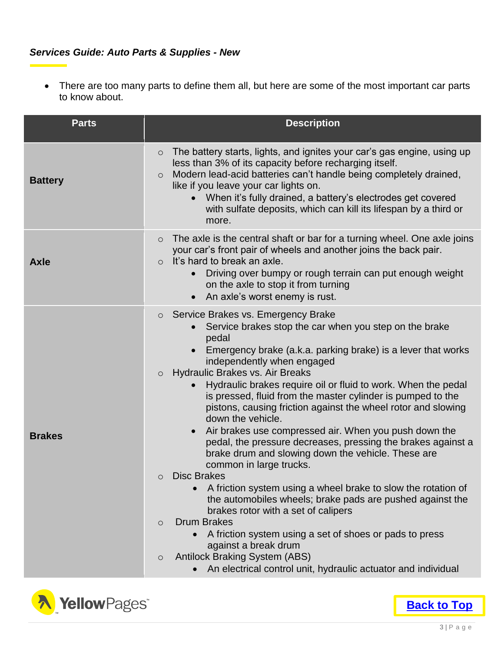#### *Services Guide: Auto Parts & Supplies - New*

 There are too many parts to define them all, but here are some of the most important car parts to know about.

| <b>Parts</b>   | <b>Description</b>                                                                                                                                                                                                                                                                                                                                                                                                                                                                                                                                                                                                                                                                                                                                                                                                                                                                                                                                                                                                                                                                                                                                                   |
|----------------|----------------------------------------------------------------------------------------------------------------------------------------------------------------------------------------------------------------------------------------------------------------------------------------------------------------------------------------------------------------------------------------------------------------------------------------------------------------------------------------------------------------------------------------------------------------------------------------------------------------------------------------------------------------------------------------------------------------------------------------------------------------------------------------------------------------------------------------------------------------------------------------------------------------------------------------------------------------------------------------------------------------------------------------------------------------------------------------------------------------------------------------------------------------------|
| <b>Battery</b> | The battery starts, lights, and ignites your car's gas engine, using up<br>$\circ$<br>less than 3% of its capacity before recharging itself.<br>Modern lead-acid batteries can't handle being completely drained,<br>$\circ$<br>like if you leave your car lights on.<br>When it's fully drained, a battery's electrodes get covered<br>$\bullet$<br>with sulfate deposits, which can kill its lifespan by a third or<br>more.                                                                                                                                                                                                                                                                                                                                                                                                                                                                                                                                                                                                                                                                                                                                       |
| <b>Axle</b>    | The axle is the central shaft or bar for a turning wheel. One axle joins<br>$\circ$<br>your car's front pair of wheels and another joins the back pair.<br>It's hard to break an axle.<br>$\circ$<br>Driving over bumpy or rough terrain can put enough weight<br>on the axle to stop it from turning<br>An axle's worst enemy is rust.                                                                                                                                                                                                                                                                                                                                                                                                                                                                                                                                                                                                                                                                                                                                                                                                                              |
| <b>Brakes</b>  | Service Brakes vs. Emergency Brake<br>$\circ$<br>Service brakes stop the car when you step on the brake<br>$\bullet$<br>pedal<br>Emergency brake (a.k.a. parking brake) is a lever that works<br>independently when engaged<br>Hydraulic Brakes vs. Air Breaks<br>$\circ$<br>Hydraulic brakes require oil or fluid to work. When the pedal<br>is pressed, fluid from the master cylinder is pumped to the<br>pistons, causing friction against the wheel rotor and slowing<br>down the vehicle.<br>Air brakes use compressed air. When you push down the<br>$\bullet$<br>pedal, the pressure decreases, pressing the brakes against a<br>brake drum and slowing down the vehicle. These are<br>common in large trucks.<br><b>Disc Brakes</b><br>$\circ$<br>A friction system using a wheel brake to slow the rotation of<br>the automobiles wheels; brake pads are pushed against the<br>brakes rotor with a set of calipers<br><b>Drum Brakes</b><br>$\circ$<br>A friction system using a set of shoes or pads to press<br>against a break drum<br><b>Antilock Braking System (ABS)</b><br>$\circ$<br>An electrical control unit, hydraulic actuator and individual |



**[Back to Top](#page-1-0)**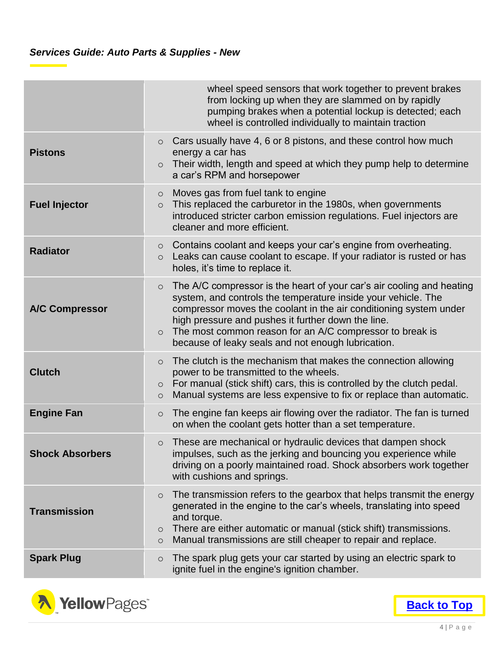|                        | wheel speed sensors that work together to prevent brakes<br>from locking up when they are slammed on by rapidly<br>pumping brakes when a potential lockup is detected; each<br>wheel is controlled individually to maintain traction                                                                                                                                                                      |
|------------------------|-----------------------------------------------------------------------------------------------------------------------------------------------------------------------------------------------------------------------------------------------------------------------------------------------------------------------------------------------------------------------------------------------------------|
| <b>Pistons</b>         | Cars usually have 4, 6 or 8 pistons, and these control how much<br>$\circ$<br>energy a car has<br>Their width, length and speed at which they pump help to determine<br>$\circ$<br>a car's RPM and horsepower                                                                                                                                                                                             |
| <b>Fuel Injector</b>   | Moves gas from fuel tank to engine<br>$\circ$<br>This replaced the carburetor in the 1980s, when governments<br>$\circ$<br>introduced stricter carbon emission regulations. Fuel injectors are<br>cleaner and more efficient.                                                                                                                                                                             |
| <b>Radiator</b>        | Contains coolant and keeps your car's engine from overheating.<br>$\circ$<br>Leaks can cause coolant to escape. If your radiator is rusted or has<br>$\circ$<br>holes, it's time to replace it.                                                                                                                                                                                                           |
| <b>A/C Compressor</b>  | The A/C compressor is the heart of your car's air cooling and heating<br>$\circ$<br>system, and controls the temperature inside your vehicle. The<br>compressor moves the coolant in the air conditioning system under<br>high pressure and pushes it further down the line.<br>The most common reason for an A/C compressor to break is<br>$\circ$<br>because of leaky seals and not enough lubrication. |
| <b>Clutch</b>          | The clutch is the mechanism that makes the connection allowing<br>$\circ$<br>power to be transmitted to the wheels.<br>For manual (stick shift) cars, this is controlled by the clutch pedal.<br>$\circ$<br>Manual systems are less expensive to fix or replace than automatic.<br>$\circ$                                                                                                                |
| <b>Engine Fan</b>      | The engine fan keeps air flowing over the radiator. The fan is turned<br>$\circ$<br>on when the coolant gets hotter than a set temperature.                                                                                                                                                                                                                                                               |
| <b>Shock Absorbers</b> | These are mechanical or hydraulic devices that dampen shock<br>$\circ$<br>impulses, such as the jerking and bouncing you experience while<br>driving on a poorly maintained road. Shock absorbers work together<br>with cushions and springs.                                                                                                                                                             |
| <b>Transmission</b>    | The transmission refers to the gearbox that helps transmit the energy<br>$\circ$<br>generated in the engine to the car's wheels, translating into speed<br>and torque.<br>There are either automatic or manual (stick shift) transmissions.<br>$\circ$<br>Manual transmissions are still cheaper to repair and replace.<br>$\bigcirc$                                                                     |
| <b>Spark Plug</b>      | The spark plug gets your car started by using an electric spark to<br>$\circ$<br>ignite fuel in the engine's ignition chamber.                                                                                                                                                                                                                                                                            |

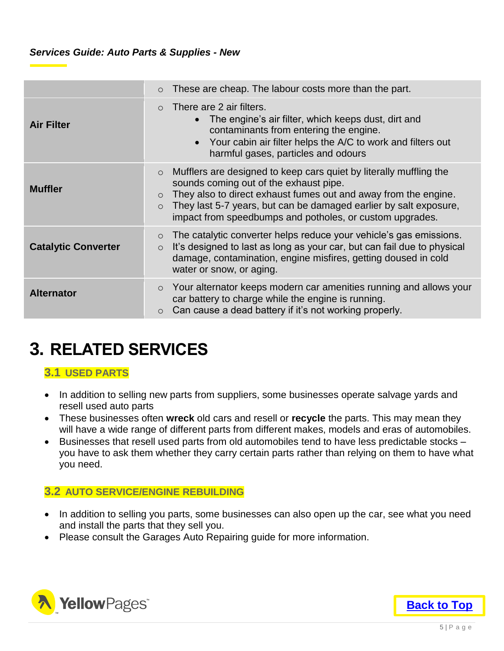|                            | These are cheap. The labour costs more than the part.<br>$\circ$                                                                                                                                                                                                                                                                                  |
|----------------------------|---------------------------------------------------------------------------------------------------------------------------------------------------------------------------------------------------------------------------------------------------------------------------------------------------------------------------------------------------|
| <b>Air Filter</b>          | There are 2 air filters.<br>$\bigcirc$<br>The engine's air filter, which keeps dust, dirt and<br>$\bullet$<br>contaminants from entering the engine.<br>Your cabin air filter helps the A/C to work and filters out<br>$\bullet$<br>harmful gases, particles and odours                                                                           |
| <b>Muffler</b>             | Mufflers are designed to keep cars quiet by literally muffling the<br>$\circ$<br>sounds coming out of the exhaust pipe.<br>They also to direct exhaust fumes out and away from the engine.<br>$\circ$<br>They last 5-7 years, but can be damaged earlier by salt exposure,<br>$\circ$<br>impact from speedbumps and potholes, or custom upgrades. |
| <b>Catalytic Converter</b> | The catalytic converter helps reduce your vehicle's gas emissions.<br>$\circ$<br>It's designed to last as long as your car, but can fail due to physical<br>$\circ$<br>damage, contamination, engine misfires, getting doused in cold<br>water or snow, or aging.                                                                                 |
| <b>Alternator</b>          | Your alternator keeps modern car amenities running and allows your<br>$\circ$<br>car battery to charge while the engine is running.<br>Can cause a dead battery if it's not working properly.<br>$\circ$                                                                                                                                          |

### <span id="page-6-0"></span>**3. RELATED SERVICES**

#### <span id="page-6-1"></span>**3.1 USED PARTS**

- In addition to selling new parts from suppliers, some businesses operate salvage yards and resell used auto parts
- These businesses often **wreck** old cars and resell or **recycle** the parts. This may mean they will have a wide range of different parts from different makes, models and eras of automobiles.
- Businesses that resell used parts from old automobiles tend to have less predictable stocks you have to ask them whether they carry certain parts rather than relying on them to have what you need.

#### <span id="page-6-2"></span>**3.2 AUTO SERVICE/ENGINE REBUILDING**

- In addition to selling you parts, some businesses can also open up the car, see what you need and install the parts that they sell you.
- Please consult the Garages Auto Repairing guide for more information.